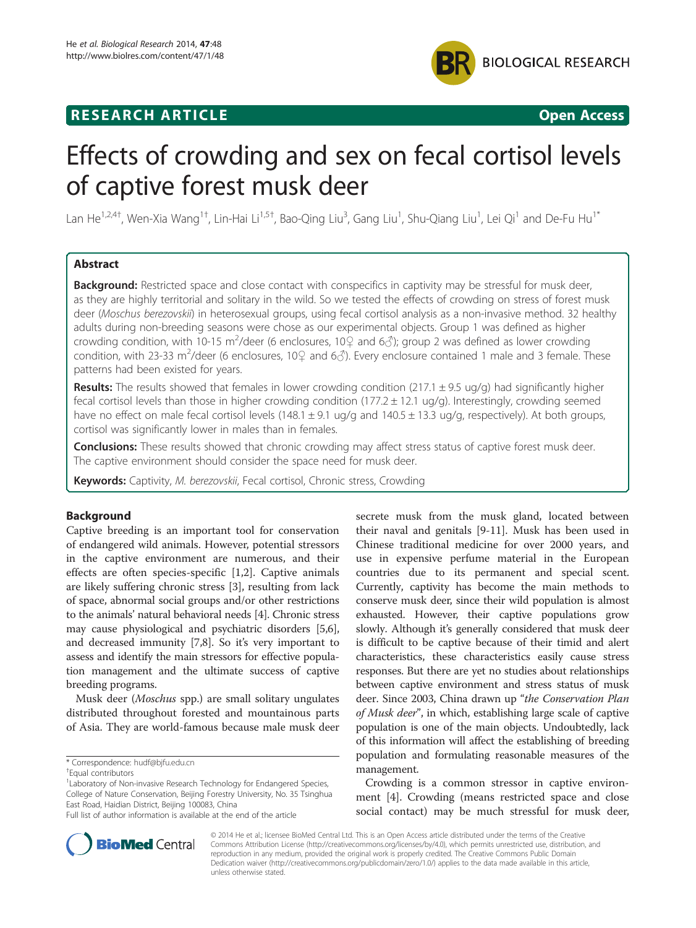# **RESEARCH ARTICLE Example 2018 12:00 THE Open Access**



# Effects of crowding and sex on fecal cortisol levels of captive forest musk deer

Lan He<sup>1,2,4†</sup>, Wen-Xia Wang<sup>1†</sup>, Lin-Hai Li<sup>1,5†</sup>, Bao-Qing Liu<sup>3</sup>, Gang Liu<sup>1</sup>, Shu-Qiang Liu<sup>1</sup>, Lei Qi<sup>1</sup> and De-Fu Hu<sup>1\*</sup>

# Abstract

Background: Restricted space and close contact with conspecifics in captivity may be stressful for musk deer, as they are highly territorial and solitary in the wild. So we tested the effects of crowding on stress of forest musk deer (Moschus berezovskii) in heterosexual groups, using fecal cortisol analysis as a non-invasive method. 32 healthy adults during non-breeding seasons were chose as our experimental objects. Group 1 was defined as higher crowding condition, with 10-15 m<sup>2</sup>/deer (6 enclosures, 10♀ and 6*3*°); group 2 was defined as lower crowding condition, with 23-33 m<sup>2</sup>/deer (6 enclosures, 10♀ and 6*3*°). Every enclosure contained 1 male and 3 female. These patterns had been existed for years.

**Results:** The results showed that females in lower crowding condition (217.1  $\pm$  9.5 ug/g) had significantly higher fecal cortisol levels than those in higher crowding condition  $(177.2 \pm 12.1 \text{ uq/q})$ . Interestingly, crowding seemed have no effect on male fecal cortisol levels (148.1  $\pm$  9.1 ug/g and 140.5  $\pm$  13.3 ug/g, respectively). At both groups, cortisol was significantly lower in males than in females.

**Conclusions:** These results showed that chronic crowding may affect stress status of captive forest musk deer. The captive environment should consider the space need for musk deer.

Keywords: Captivity, M. berezovskii, Fecal cortisol, Chronic stress, Crowding

# Background

Captive breeding is an important tool for conservation of endangered wild animals. However, potential stressors in the captive environment are numerous, and their effects are often species-specific [\[1,2](#page-4-0)]. Captive animals are likely suffering chronic stress [[3\]](#page-4-0), resulting from lack of space, abnormal social groups and/or other restrictions to the animals' natural behavioral needs [[4\]](#page-4-0). Chronic stress may cause physiological and psychiatric disorders [[5](#page-4-0),[6](#page-4-0)], and decreased immunity [\[7,8\]](#page-4-0). So it's very important to assess and identify the main stressors for effective population management and the ultimate success of captive breeding programs.

Musk deer (Moschus spp.) are small solitary ungulates distributed throughout forested and mountainous parts of Asia. They are world-famous because male musk deer secrete musk from the musk gland, located between their naval and genitals [\[9-11](#page-4-0)]. Musk has been used in Chinese traditional medicine for over 2000 years, and use in expensive perfume material in the European countries due to its permanent and special scent. Currently, captivity has become the main methods to conserve musk deer, since their wild population is almost exhausted. However, their captive populations grow slowly. Although it's generally considered that musk deer is difficult to be captive because of their timid and alert characteristics, these characteristics easily cause stress responses. But there are yet no studies about relationships between captive environment and stress status of musk deer. Since 2003, China drawn up "the Conservation Plan of Musk deer", in which, establishing large scale of captive population is one of the main objects. Undoubtedly, lack of this information will affect the establishing of breeding population and formulating reasonable measures of the management.

Crowding is a common stressor in captive environment [[4\]](#page-4-0). Crowding (means restricted space and close social contact) may be much stressful for musk deer,



© 2014 He et al.; licensee BioMed Central Ltd. This is an Open Access article distributed under the terms of the Creative Commons Attribution License [\(http://creativecommons.org/licenses/by/4.0\)](http://creativecommons.org/licenses/by/4.0), which permits unrestricted use, distribution, and reproduction in any medium, provided the original work is properly credited. The Creative Commons Public Domain Dedication waiver [\(http://creativecommons.org/publicdomain/zero/1.0/](http://creativecommons.org/publicdomain/zero/1.0/)) applies to the data made available in this article, unless otherwise stated.

<sup>\*</sup> Correspondence: [hudf@bjfu.edu.cn](mailto:hudf@bjfu.edu.cn) †

Equal contributors

<sup>&</sup>lt;sup>1</sup> Laboratory of Non-invasive Research Technology for Endangered Species, College of Nature Conservation, Beijing Forestry University, No. 35 Tsinghua East Road, Haidian District, Beijing 100083, China

Full list of author information is available at the end of the article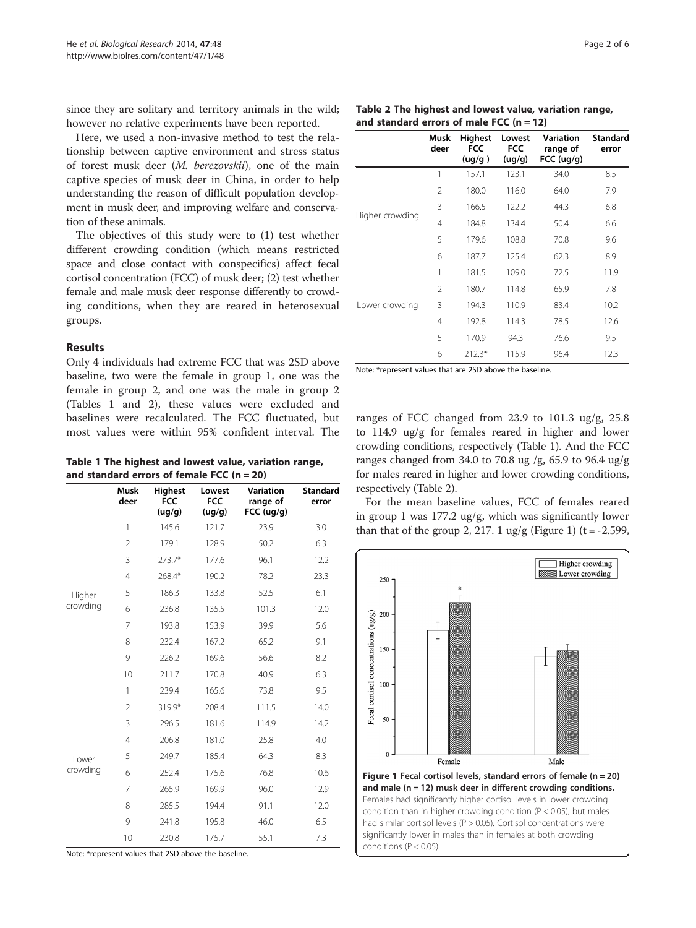<span id="page-1-0"></span>since they are solitary and territory animals in the wild; however no relative experiments have been reported.

Here, we used a non-invasive method to test the relationship between captive environment and stress status of forest musk deer (M. berezovskii), one of the main captive species of musk deer in China, in order to help understanding the reason of difficult population development in musk deer, and improving welfare and conservation of these animals.

The objectives of this study were to (1) test whether different crowding condition (which means restricted space and close contact with conspecifics) affect fecal cortisol concentration (FCC) of musk deer; (2) test whether female and male musk deer response differently to crowding conditions, when they are reared in heterosexual groups.

## Results

Only 4 individuals had extreme FCC that was 2SD above baseline, two were the female in group 1, one was the female in group 2, and one was the male in group 2 (Tables 1 and 2), these values were excluded and baselines were recalculated. The FCC fluctuated, but most values were within 95% confident interval. The

Table 1 The highest and lowest value, variation range, and standard errors of female FCC  $(n = 20)$ 

|                    | Musk<br>deer   | Highest<br><b>FCC</b><br>(ug/g) | Lowest<br><b>FCC</b><br>(ug/g) | <b>Variation</b><br>range of<br>FCC (ug/g) | <b>Standard</b><br>error |
|--------------------|----------------|---------------------------------|--------------------------------|--------------------------------------------|--------------------------|
| Higher<br>crowding | 1              | 145.6                           | 121.7                          | 23.9                                       | 3.0                      |
|                    | $\overline{2}$ | 179.1                           | 128.9                          | 50.2                                       | 6.3                      |
|                    | 3              | 273.7*                          | 177.6                          | 96.1                                       | 12.2                     |
|                    | $\overline{4}$ | 268.4*                          | 190.2                          | 78.2                                       | 23.3                     |
|                    | 5              | 186.3                           | 133.8                          | 52.5                                       | 6.1                      |
|                    | 6              | 236.8                           | 135.5                          | 101.3                                      | 12.0                     |
|                    | 7              | 193.8                           | 153.9                          | 39.9                                       | 5.6                      |
|                    | 8              | 232.4                           | 167.2                          | 65.2                                       | 9.1                      |
|                    | 9              | 226.2                           | 169.6                          | 56.6                                       | 8.2                      |
|                    | 10             | 211.7                           | 170.8                          | 40.9                                       | 6.3                      |
| Lower<br>crowding  | 1              | 239.4                           | 165.6                          | 73.8                                       | 9.5                      |
|                    | $\overline{2}$ | 319.9*                          | 208.4                          | 111.5                                      | 14.0                     |
|                    | 3              | 296.5                           | 181.6                          | 114.9                                      | 14.2                     |
|                    | $\overline{4}$ | 206.8                           | 181.0                          | 25.8                                       | 4.0                      |
|                    | 5              | 249.7                           | 185.4                          | 64.3                                       | 8.3                      |
|                    | 6              | 252.4                           | 175.6                          | 76.8                                       | 10.6                     |
|                    | 7              | 265.9                           | 169.9                          | 96.0                                       | 12.9                     |
|                    | 8              | 285.5                           | 194.4                          | 91.1                                       | 12.0                     |
|                    | 9              | 241.8                           | 195.8                          | 46.0                                       | 6.5                      |
|                    | 10             | 230.8                           | 175.7                          | 55.1                                       | 7.3                      |

Note: \*represent values that 2SD above the baseline.

| Table 2 The highest and lowest value, variation range, |  |  |  |  |  |  |  |
|--------------------------------------------------------|--|--|--|--|--|--|--|
| and standard errors of male FCC $(n = 12)$             |  |  |  |  |  |  |  |
|                                                        |  |  |  |  |  |  |  |

|                 | Musk<br>deer   | <b>Highest</b><br>FCC<br>(ug/g) | Lowest<br><b>FCC</b><br>(ug/g) | Variation<br>range of<br>FCC (ug/g) | <b>Standard</b><br>error |
|-----------------|----------------|---------------------------------|--------------------------------|-------------------------------------|--------------------------|
|                 | 1              | 157.1                           | 123.1                          | 34.0                                | 8.5                      |
|                 | $\mathfrak{D}$ | 180.0                           | 116.0                          | 64.0                                | 7.9                      |
|                 | 3              | 166.5                           | 122.2                          | 44.3                                | 6.8                      |
| Higher crowding | 4              | 184.8                           | 134.4                          | 50.4                                | 6.6                      |
|                 | 5              | 179.6                           | 108.8                          | 70.8                                | 9.6                      |
|                 | 6              | 187.7                           | 125.4                          | 62.3                                | 8.9                      |
|                 | 1              | 181.5                           | 109.0                          | 72.5                                | 11.9                     |
|                 | $\overline{2}$ | 180.7                           | 114.8                          | 65.9                                | 7.8                      |
| Lower crowding  | 3              | 194.3                           | 110.9                          | 83.4                                | 10.2                     |
|                 | 4              | 192.8                           | 114.3                          | 78.5                                | 12.6                     |
|                 | 5              | 170.9                           | 94.3                           | 76.6                                | 9.5                      |
|                 | 6              | $212.3*$                        | 115.9                          | 96.4                                | 12.3                     |

Note: \*represent values that are 2SD above the baseline.

ranges of FCC changed from 23.9 to 101.3 ug/g, 25.8 to 114.9 ug/g for females reared in higher and lower crowding conditions, respectively (Table 1). And the FCC ranges changed from 34.0 to 70.8 ug /g, 65.9 to 96.4 ug/g for males reared in higher and lower crowding conditions, respectively (Table 2).

For the mean baseline values, FCC of females reared in group 1 was 177.2 ug/g, which was significantly lower than that of the group 2, 217. 1 ug/g (Figure 1)  $(t = -2.599)$ ,

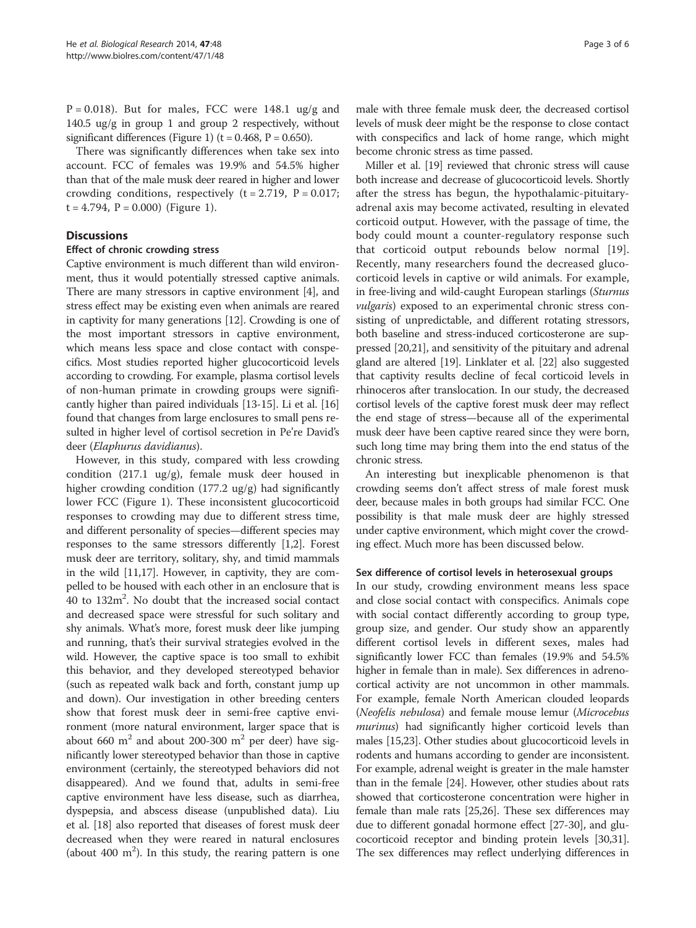$P = 0.018$ ). But for males, FCC were 148.1 ug/g and 140.5 ug/g in group 1 and group 2 respectively, without significant differences (Figure [1\)](#page-1-0) ( $t = 0.468$ ,  $P = 0.650$ ).

There was significantly differences when take sex into account. FCC of females was 19.9% and 54.5% higher than that of the male musk deer reared in higher and lower crowding conditions, respectively  $(t = 2.719, P = 0.017;$  $t = 4.794$ ,  $P = 0.000$ ) (Figure [1](#page-1-0)).

# **Discussions**

#### Effect of chronic crowding stress

Captive environment is much different than wild environment, thus it would potentially stressed captive animals. There are many stressors in captive environment [\[4](#page-4-0)], and stress effect may be existing even when animals are reared in captivity for many generations [[12](#page-4-0)]. Crowding is one of the most important stressors in captive environment, which means less space and close contact with conspecifics. Most studies reported higher glucocorticoid levels according to crowding. For example, plasma cortisol levels of non-human primate in crowding groups were significantly higher than paired individuals [\[13-15](#page-4-0)]. Li et al. [[16](#page-5-0)] found that changes from large enclosures to small pens resulted in higher level of cortisol secretion in Pe're David's deer (Elaphurus davidianus).

However, in this study, compared with less crowding condition (217.1 ug/g), female musk deer housed in higher crowding condition (177.2 ug/g) had significantly lower FCC (Figure [1](#page-1-0)). These inconsistent glucocorticoid responses to crowding may due to different stress time, and different personality of species—different species may responses to the same stressors differently [\[1,2\]](#page-4-0). Forest musk deer are territory, solitary, shy, and timid mammals in the wild [\[11,](#page-4-0)[17](#page-5-0)]. However, in captivity, they are compelled to be housed with each other in an enclosure that is 40 to 132m<sup>2</sup>. No doubt that the increased social contact and decreased space were stressful for such solitary and shy animals. What's more, forest musk deer like jumping and running, that's their survival strategies evolved in the wild. However, the captive space is too small to exhibit this behavior, and they developed stereotyped behavior (such as repeated walk back and forth, constant jump up and down). Our investigation in other breeding centers show that forest musk deer in semi-free captive environment (more natural environment, larger space that is about 660 m<sup>2</sup> and about 200-300 m<sup>2</sup> per deer) have significantly lower stereotyped behavior than those in captive environment (certainly, the stereotyped behaviors did not disappeared). And we found that, adults in semi-free captive environment have less disease, such as diarrhea, dyspepsia, and abscess disease (unpublished data). Liu et al. [\[18\]](#page-5-0) also reported that diseases of forest musk deer decreased when they were reared in natural enclosures (about  $400 \text{ m}^2$ ). In this study, the rearing pattern is one

male with three female musk deer, the decreased cortisol levels of musk deer might be the response to close contact with conspecifics and lack of home range, which might become chronic stress as time passed.

Miller et al. [[19](#page-5-0)] reviewed that chronic stress will cause both increase and decrease of glucocorticoid levels. Shortly after the stress has begun, the hypothalamic-pituitaryadrenal axis may become activated, resulting in elevated corticoid output. However, with the passage of time, the body could mount a counter-regulatory response such that corticoid output rebounds below normal [\[19](#page-5-0)]. Recently, many researchers found the decreased glucocorticoid levels in captive or wild animals. For example, in free-living and wild-caught European starlings (Sturnus vulgaris) exposed to an experimental chronic stress consisting of unpredictable, and different rotating stressors, both baseline and stress-induced corticosterone are suppressed [\[20,21\]](#page-5-0), and sensitivity of the pituitary and adrenal gland are altered [[19\]](#page-5-0). Linklater et al. [\[22\]](#page-5-0) also suggested that captivity results decline of fecal corticoid levels in rhinoceros after translocation. In our study, the decreased cortisol levels of the captive forest musk deer may reflect the end stage of stress—because all of the experimental musk deer have been captive reared since they were born, such long time may bring them into the end status of the chronic stress.

An interesting but inexplicable phenomenon is that crowding seems don't affect stress of male forest musk deer, because males in both groups had similar FCC. One possibility is that male musk deer are highly stressed under captive environment, which might cover the crowding effect. Much more has been discussed below.

#### Sex difference of cortisol levels in heterosexual groups

In our study, crowding environment means less space and close social contact with conspecifics. Animals cope with social contact differently according to group type, group size, and gender. Our study show an apparently different cortisol levels in different sexes, males had significantly lower FCC than females (19.9% and 54.5% higher in female than in male). Sex differences in adrenocortical activity are not uncommon in other mammals. For example, female North American clouded leopards (Neofelis nebulosa) and female mouse lemur (Microcebus murinus) had significantly higher corticoid levels than males [[15](#page-4-0)[,23\]](#page-5-0). Other studies about glucocorticoid levels in rodents and humans according to gender are inconsistent. For example, adrenal weight is greater in the male hamster than in the female [[24](#page-5-0)]. However, other studies about rats showed that corticosterone concentration were higher in female than male rats [[25](#page-5-0),[26](#page-5-0)]. These sex differences may due to different gonadal hormone effect [\[27](#page-5-0)-[30](#page-5-0)], and glucocorticoid receptor and binding protein levels [\[30,31](#page-5-0)]. The sex differences may reflect underlying differences in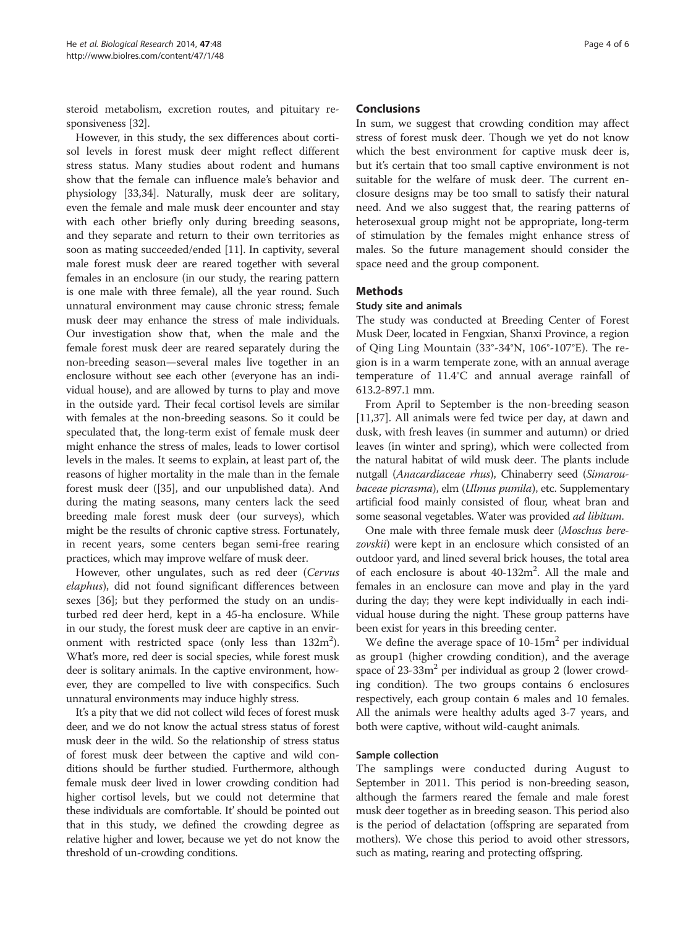steroid metabolism, excretion routes, and pituitary responsiveness [\[32](#page-5-0)].

However, in this study, the sex differences about cortisol levels in forest musk deer might reflect different stress status. Many studies about rodent and humans show that the female can influence male's behavior and physiology [\[33,34\]](#page-5-0). Naturally, musk deer are solitary, even the female and male musk deer encounter and stay with each other briefly only during breeding seasons, and they separate and return to their own territories as soon as mating succeeded/ended [\[11\]](#page-4-0). In captivity, several male forest musk deer are reared together with several females in an enclosure (in our study, the rearing pattern is one male with three female), all the year round. Such unnatural environment may cause chronic stress; female musk deer may enhance the stress of male individuals. Our investigation show that, when the male and the female forest musk deer are reared separately during the non-breeding season—several males live together in an enclosure without see each other (everyone has an individual house), and are allowed by turns to play and move in the outside yard. Their fecal cortisol levels are similar with females at the non-breeding seasons. So it could be speculated that, the long-term exist of female musk deer might enhance the stress of males, leads to lower cortisol levels in the males. It seems to explain, at least part of, the reasons of higher mortality in the male than in the female forest musk deer ([\[35\]](#page-5-0), and our unpublished data). And during the mating seasons, many centers lack the seed breeding male forest musk deer (our surveys), which might be the results of chronic captive stress. Fortunately, in recent years, some centers began semi-free rearing practices, which may improve welfare of musk deer.

However, other ungulates, such as red deer (Cervus elaphus), did not found significant differences between sexes [\[36](#page-5-0)]; but they performed the study on an undisturbed red deer herd, kept in a 45-ha enclosure. While in our study, the forest musk deer are captive in an environment with restricted space (only less than  $132m^2$ ). What's more, red deer is social species, while forest musk deer is solitary animals. In the captive environment, however, they are compelled to live with conspecifics. Such unnatural environments may induce highly stress.

It's a pity that we did not collect wild feces of forest musk deer, and we do not know the actual stress status of forest musk deer in the wild. So the relationship of stress status of forest musk deer between the captive and wild conditions should be further studied. Furthermore, although female musk deer lived in lower crowding condition had higher cortisol levels, but we could not determine that these individuals are comfortable. It' should be pointed out that in this study, we defined the crowding degree as relative higher and lower, because we yet do not know the threshold of un-crowding conditions.

### Conclusions

In sum, we suggest that crowding condition may affect stress of forest musk deer. Though we yet do not know which the best environment for captive musk deer is, but it's certain that too small captive environment is not suitable for the welfare of musk deer. The current enclosure designs may be too small to satisfy their natural need. And we also suggest that, the rearing patterns of heterosexual group might not be appropriate, long-term of stimulation by the females might enhance stress of males. So the future management should consider the space need and the group component.

# **Methods**

#### Study site and animals

The study was conducted at Breeding Center of Forest Musk Deer, located in Fengxian, Shanxi Province, a region of Qing Ling Mountain (33°-34°N, 106°-107°E). The region is in a warm temperate zone, with an annual average temperature of 11.4°C and annual average rainfall of 613.2-897.1 mm.

From April to September is the non-breeding season [[11,](#page-4-0)[37\]](#page-5-0). All animals were fed twice per day, at dawn and dusk, with fresh leaves (in summer and autumn) or dried leaves (in winter and spring), which were collected from the natural habitat of wild musk deer. The plants include nutgall (Anacardiaceae rhus), Chinaberry seed (Simaroubaceae picrasma), elm (Ulmus pumila), etc. Supplementary artificial food mainly consisted of flour, wheat bran and some seasonal vegetables. Water was provided *ad libitum*.

One male with three female musk deer (Moschus berezovskii) were kept in an enclosure which consisted of an outdoor yard, and lined several brick houses, the total area of each enclosure is about 40-132m<sup>2</sup>. All the male and females in an enclosure can move and play in the yard during the day; they were kept individually in each individual house during the night. These group patterns have been exist for years in this breeding center.

We define the average space of  $10-15m^2$  per individual as group1 (higher crowding condition), and the average space of  $23-33m^2$  per individual as group 2 (lower crowding condition). The two groups contains 6 enclosures respectively, each group contain 6 males and 10 females. All the animals were healthy adults aged 3-7 years, and both were captive, without wild-caught animals.

# Sample collection

The samplings were conducted during August to September in 2011. This period is non-breeding season, although the farmers reared the female and male forest musk deer together as in breeding season. This period also is the period of delactation (offspring are separated from mothers). We chose this period to avoid other stressors, such as mating, rearing and protecting offspring.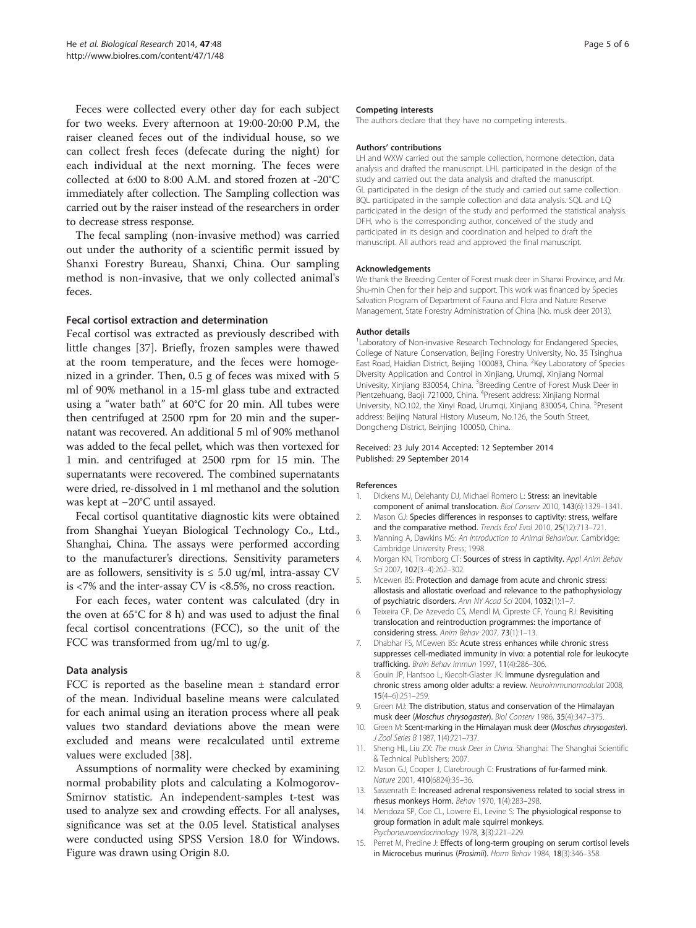<span id="page-4-0"></span>Feces were collected every other day for each subject for two weeks. Every afternoon at 19:00-20:00 P.M, the raiser cleaned feces out of the individual house, so we can collect fresh feces (defecate during the night) for each individual at the next morning. The feces were collected at 6:00 to 8:00 A.M. and stored frozen at -20°C immediately after collection. The Sampling collection was carried out by the raiser instead of the researchers in order to decrease stress response.

The fecal sampling (non-invasive method) was carried out under the authority of a scientific permit issued by Shanxi Forestry Bureau, Shanxi, China. Our sampling method is non-invasive, that we only collected animal's feces.

#### Fecal cortisol extraction and determination

Fecal cortisol was extracted as previously described with little changes [\[37](#page-5-0)]. Briefly, frozen samples were thawed at the room temperature, and the feces were homogenized in a grinder. Then, 0.5 g of feces was mixed with 5 ml of 90% methanol in a 15-ml glass tube and extracted using a "water bath" at 60°C for 20 min. All tubes were then centrifuged at 2500 rpm for 20 min and the supernatant was recovered. An additional 5 ml of 90% methanol was added to the fecal pellet, which was then vortexed for 1 min. and centrifuged at 2500 rpm for 15 min. The supernatants were recovered. The combined supernatants were dried, re-dissolved in 1 ml methanol and the solution was kept at −20°C until assayed.

Fecal cortisol quantitative diagnostic kits were obtained from Shanghai Yueyan Biological Technology Co., Ltd., Shanghai, China. The assays were performed according to the manufacturer's directions. Sensitivity parameters are as followers, sensitivity is  $\leq 5.0$  ug/ml, intra-assay CV is <7% and the inter-assay CV is <8.5%, no cross reaction.

For each feces, water content was calculated (dry in the oven at 65°C for 8 h) and was used to adjust the final fecal cortisol concentrations (FCC), so the unit of the FCC was transformed from ug/ml to ug/g.

#### Data analysis

FCC is reported as the baseline mean  $\pm$  standard error of the mean. Individual baseline means were calculated for each animal using an iteration process where all peak values two standard deviations above the mean were excluded and means were recalculated until extreme values were excluded [\[38\]](#page-5-0).

Assumptions of normality were checked by examining normal probability plots and calculating a Kolmogorov-Smirnov statistic. An independent-samples t-test was used to analyze sex and crowding effects. For all analyses, significance was set at the 0.05 level. Statistical analyses were conducted using SPSS Version 18.0 for Windows. Figure was drawn using Origin 8.0.

#### Competing interests

The authors declare that they have no competing interests.

#### Authors' contributions

LH and WXW carried out the sample collection, hormone detection, data analysis and drafted the manuscript. LHL participated in the design of the study and carried out the data analysis and drafted the manuscript. GL participated in the design of the study and carried out same collection. BQL participated in the sample collection and data analysis. SQL and LQ participated in the design of the study and performed the statistical analysis. DFH, who is the corresponding author, conceived of the study and participated in its design and coordination and helped to draft the manuscript. All authors read and approved the final manuscript.

#### Acknowledgements

We thank the Breeding Center of Forest musk deer in Shanxi Province, and Mr. Shu-min Chen for their help and support. This work was financed by Species Salvation Program of Department of Fauna and Flora and Nature Reserve Management, State Forestry Administration of China (No. musk deer 2013).

#### Author details

<sup>1</sup> Laboratory of Non-invasive Research Technology for Endangered Species, College of Nature Conservation, Beijing Forestry University, No. 35 Tsinghua East Road, Haidian District, Beijing 100083, China. <sup>2</sup>Key Laboratory of Species Diversity Application and Control in Xinjiang, Urumqi, Xinjiang Normal Univesity, Xinjiang 830054, China. <sup>3</sup>Breeding Centre of Forest Musk Deer in Pientzehuang, Baoji 721000, China. <sup>4</sup>Present address: Xinjiang Normal University, NO.102, the Xinyi Road, Urumqi, Xinjiang 830054, China. <sup>5</sup>Present address: Beijing Natural History Museum, No.126, the South Street, Dongcheng District, Beinjing 100050, China.

#### Received: 23 July 2014 Accepted: 12 September 2014 Published: 29 September 2014

#### References

- 1. Dickens MJ, Delehanty DJ, Michael Romero L: Stress: an inevitable component of animal translocation. Biol Conserv 2010, 143(6):1329–1341.
- 2. Mason GJ: Species differences in responses to captivity: stress, welfare and the comparative method. Trends Ecol Evol 2010, 25(12):713–721.
- 3. Manning A, Dawkins MS: An Introduction to Animal Behaviour. Cambridge: Cambridge University Press; 1998.
- 4. Morgan KN, Tromborg CT: Sources of stress in captivity. Appl Anim Behav Sci 2007, 102(3–4):262–302.
- 5. Mcewen BS: Protection and damage from acute and chronic stress: allostasis and allostatic overload and relevance to the pathophysiology of psychiatric disorders. Ann NY Acad Sci 2004, 1032(1):1–7.
- 6. Teixeira CP, De Azevedo CS, Mendl M, Cipreste CF, Young RJ: Revisiting translocation and reintroduction programmes: the importance of considering stress. Anim Behav 2007, 73(1):1–13.
- 7. Dhabhar FS, MCewen BS: Acute stress enhances while chronic stress suppresses cell-mediated immunity in vivo: a potential role for leukocyte trafficking. Brain Behav Immun 1997, 11(4):286–306.
- 8. Gouin JP, Hantsoo L, Kiecolt-Glaster JK: Immune dysregulation and chronic stress among older adults: a review. Neuroimmunomodulat 2008, 15(4–6):251–259.
- 9. Green MJ: The distribution, status and conservation of the Himalayan musk deer (Moschus chrysogaster). Biol Conserv 1986, 35(4):347–375.
- 10. Green M: Scent-marking in the Himalayan musk deer (Moschus chrysogaster). J Zool Series B 1987, 1(4):721–737.
- 11. Sheng HL, Liu ZX: The musk Deer in China. Shanghai: The Shanghai Scientific & Technical Publishers; 2007.
- 12. Mason GJ, Cooper J, Clarebrough C: Frustrations of fur-farmed mink. Nature 2001, 410(6824):35–36.
- 13. Sassenrath E: Increased adrenal responsiveness related to social stress in rhesus monkeys Horm. Behav 1970, 1(4):283–298.
- 14. Mendoza SP, Coe CL, Lowere EL, Levine S: The physiological response to group formation in adult male squirrel monkeys. Psychoneuroendocrinology 1978, 3(3):221–229.
- 15. Perret M, Predine J: Effects of long-term grouping on serum cortisol levels in Microcebus murinus (Prosimii). Horm Behav 1984, 18(3):346-358.